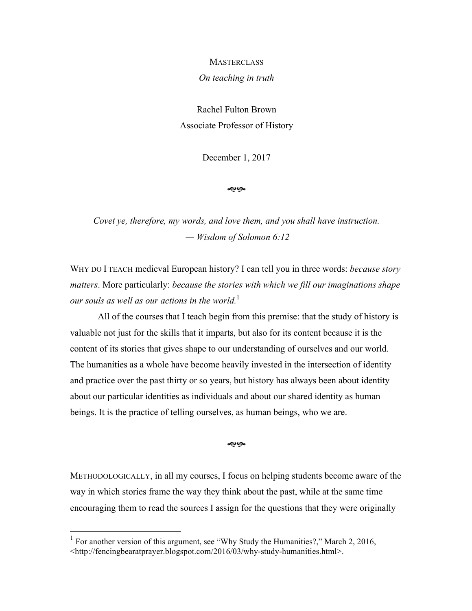## **MASTERCLASS**

## *On teaching in truth*

Rachel Fulton Brown Associate Professor of History

December 1, 2017

موبوله

*Covet ye, therefore, my words, and love them, and you shall have instruction. — Wisdom of Solomon 6:12*

WHY DO I TEACH medieval European history? I can tell you in three words: *because story matters*. More particularly: *because the stories with which we fill our imaginations shape our souls as well as our actions in the world.* 1

All of the courses that I teach begin from this premise: that the study of history is valuable not just for the skills that it imparts, but also for its content because it is the content of its stories that gives shape to our understanding of ourselves and our world. The humanities as a whole have become heavily invested in the intersection of identity and practice over the past thirty or so years, but history has always been about identity about our particular identities as individuals and about our shared identity as human beings. It is the practice of telling ourselves, as human beings, who we are.

موبوله

METHODOLOGICALLY, in all my courses, I focus on helping students become aware of the way in which stories frame the way they think about the past, while at the same time encouraging them to read the sources I assign for the questions that they were originally

<sup>&</sup>lt;sup>1</sup> For another version of this argument, see "Why Study the Humanities?," March 2, 2016, <http://fencingbearatprayer.blogspot.com/2016/03/why-study-humanities.html>.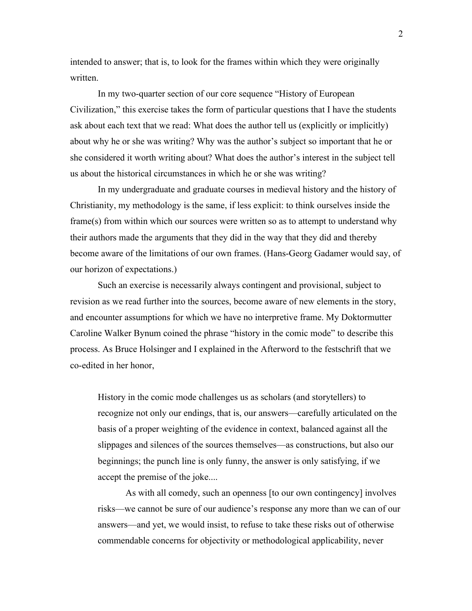intended to answer; that is, to look for the frames within which they were originally written.

In my two-quarter section of our core sequence "History of European Civilization," this exercise takes the form of particular questions that I have the students ask about each text that we read: What does the author tell us (explicitly or implicitly) about why he or she was writing? Why was the author's subject so important that he or she considered it worth writing about? What does the author's interest in the subject tell us about the historical circumstances in which he or she was writing?

In my undergraduate and graduate courses in medieval history and the history of Christianity, my methodology is the same, if less explicit: to think ourselves inside the frame(s) from within which our sources were written so as to attempt to understand why their authors made the arguments that they did in the way that they did and thereby become aware of the limitations of our own frames. (Hans-Georg Gadamer would say, of our horizon of expectations.)

Such an exercise is necessarily always contingent and provisional, subject to revision as we read further into the sources, become aware of new elements in the story, and encounter assumptions for which we have no interpretive frame. My Doktormutter Caroline Walker Bynum coined the phrase "history in the comic mode" to describe this process. As Bruce Holsinger and I explained in the Afterword to the festschrift that we co-edited in her honor,

History in the comic mode challenges us as scholars (and storytellers) to recognize not only our endings, that is, our answers—carefully articulated on the basis of a proper weighting of the evidence in context, balanced against all the slippages and silences of the sources themselves—as constructions, but also our beginnings; the punch line is only funny, the answer is only satisfying, if we accept the premise of the joke....

As with all comedy, such an openness [to our own contingency] involves risks—we cannot be sure of our audience's response any more than we can of our answers—and yet, we would insist, to refuse to take these risks out of otherwise commendable concerns for objectivity or methodological applicability, never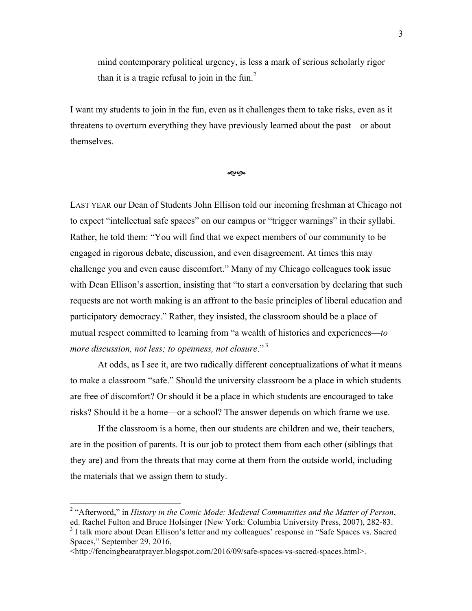mind contemporary political urgency, is less a mark of serious scholarly rigor than it is a tragic refusal to join in the fun.<sup>2</sup>

I want my students to join in the fun, even as it challenges them to take risks, even as it threatens to overturn everything they have previously learned about the past—or about themselves.

∕ହ ଓ

LAST YEAR our Dean of Students John Ellison told our incoming freshman at Chicago not to expect "intellectual safe spaces" on our campus or "trigger warnings" in their syllabi. Rather, he told them: "You will find that we expect members of our community to be engaged in rigorous debate, discussion, and even disagreement. At times this may challenge you and even cause discomfort." Many of my Chicago colleagues took issue with Dean Ellison's assertion, insisting that "to start a conversation by declaring that such requests are not worth making is an affront to the basic principles of liberal education and participatory democracy." Rather, they insisted, the classroom should be a place of mutual respect committed to learning from "a wealth of histories and experiences—*to more discussion, not less; to openness, not closure.*"<sup>3</sup>

At odds, as I see it, are two radically different conceptualizations of what it means to make a classroom "safe." Should the university classroom be a place in which students are free of discomfort? Or should it be a place in which students are encouraged to take risks? Should it be a home—or a school? The answer depends on which frame we use.

If the classroom is a home, then our students are children and we, their teachers, are in the position of parents. It is our job to protect them from each other (siblings that they are) and from the threats that may come at them from the outside world, including the materials that we assign them to study.

 <sup>2</sup> "Afterword," in *History in the Comic Mode: Medieval Communities and the Matter of Person*,

ed. Rachel Fulton and Bruce Holsinger (New York: Columbia University Press, 2007), 282-83.

<sup>3</sup> I talk more about Dean Ellison's letter and my colleagues' response in "Safe Spaces vs. Sacred Spaces," September 29, 2016,

<sup>&</sup>lt;http://fencingbearatprayer.blogspot.com/2016/09/safe-spaces-vs-sacred-spaces.html>.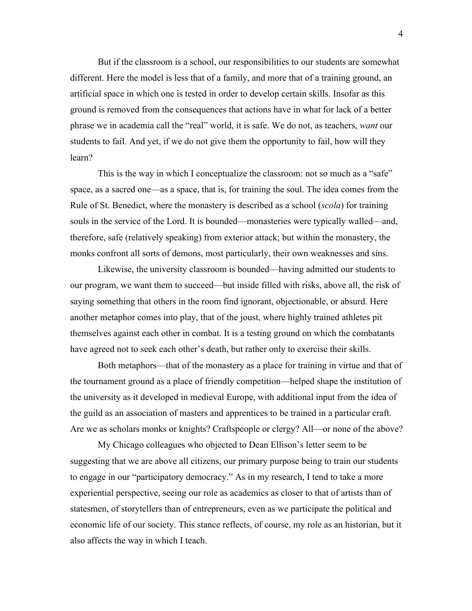But if the classroom is a school, our responsibilities to our students are somewhat different. Here the model is less that of a family, and more that of a training ground, an artificial space in which one is tested in order to develop certain skills. Insofar as this ground is removed from the consequences that actions have in what for lack of a better phrase we in academia call the "real" world, it is safe. We do not, as teachers, *want* our students to fail. And yet, if we do not give them the opportunity to fail, how will they learn?

This is the way in which I conceptualize the classroom: not so much as a "safe" space, as a sacred one—as a space, that is, for training the soul. The idea comes from the Rule of St. Benedict, where the monastery is described as a school (*scola*) for training souls in the service of the Lord. It is bounded—monasteries were typically walled—and, therefore, safe (relatively speaking) from exterior attack; but within the monastery, the monks confront all sorts of demons, most particularly, their own weaknesses and sins.

Likewise, the university classroom is bounded—having admitted our students to our program, we want them to succeed—but inside filled with risks, above all, the risk of saying something that others in the room find ignorant, objectionable, or absurd. Here another metaphor comes into play, that of the joust, where highly trained athletes pit themselves against each other in combat. It is a testing ground on which the combatants have agreed not to seek each other's death, but rather only to exercise their skills.

Both metaphors—that of the monastery as a place for training in virtue and that of the tournament ground as a place of friendly competition—helped shape the institution of the university as it developed in medieval Europe, with additional input from the idea of the guild as an association of masters and apprentices to be trained in a particular craft. Are we as scholars monks or knights? Craftspeople or clergy? All—or none of the above?

My Chicago colleagues who objected to Dean Ellison's letter seem to be suggesting that we are above all citizens, our primary purpose being to train our students to engage in our "participatory democracy." As in my research, I tend to take a more experiential perspective, seeing our role as academics as closer to that of artists than of statesmen, of storytellers than of entrepreneurs, even as we participate the political and economic life of our society. This stance reflects, of course, my role as an historian, but it also affects the way in which I teach.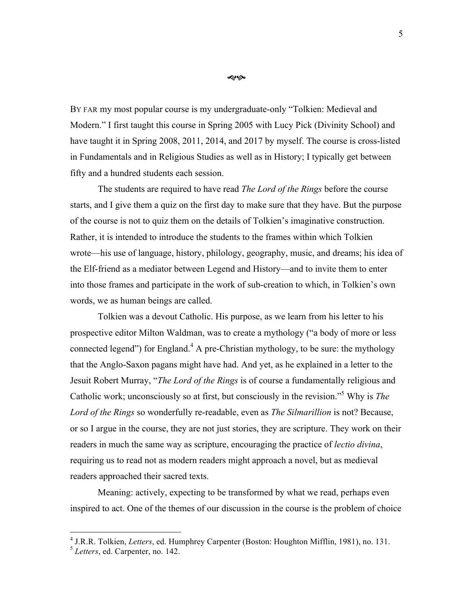æĢ.

BY FAR my most popular course is my undergraduate-only "Tolkien: Medieval and Modern." I first taught this course in Spring 2005 with Lucy Pick (Divinity School) and have taught it in Spring 2008, 2011, 2014, and 2017 by myself. The course is cross-listed in Fundamentals and in Religious Studies as well as in History; I typically get between fifty and a hundred students each session.

The students are required to have read *The Lord of the Rings* before the course starts, and I give them a quiz on the first day to make sure that they have. But the purpose of the course is not to quiz them on the details of Tolkien's imaginative construction. Rather, it is intended to introduce the students to the frames within which Tolkien wrote—his use of language, history, philology, geography, music, and dreams; his idea of the Elf-friend as a mediator between Legend and History—and to invite them to enter into those frames and participate in the work of sub-creation to which, in Tolkien's own words, we as human beings are called.

Tolkien was a devout Catholic. His purpose, as we learn from his letter to his prospective editor Milton Waldman, was to create a mythology ("a body of more or less connected legend") for England.<sup>4</sup> A pre-Christian mythology, to be sure: the mythology that the Anglo-Saxon pagans might have had. And yet, as he explained in a letter to the Jesuit Robert Murray, "*The Lord of the Rings* is of course a fundamentally religious and Catholic work; unconsciously so at first, but consciously in the revision."5 Why is *The Lord of the Rings* so wonderfully re-readable, even as *The Silmarillion* is not? Because, or so I argue in the course, they are not just stories, they are scripture. They work on their readers in much the same way as scripture, encouraging the practice of *lectio divina*, requiring us to read not as modern readers might approach a novel, but as medieval readers approached their sacred texts.

Meaning: actively, expecting to be transformed by what we read, perhaps even inspired to act. One of the themes of our discussion in the course is the problem of choice

 <sup>4</sup> J.R.R. Tolkien, *Letters*, ed. Humphrey Carpenter (Boston: Houghton Mifflin, 1981), no. 131.

<sup>5</sup> *Letters*, ed. Carpenter, no. 142.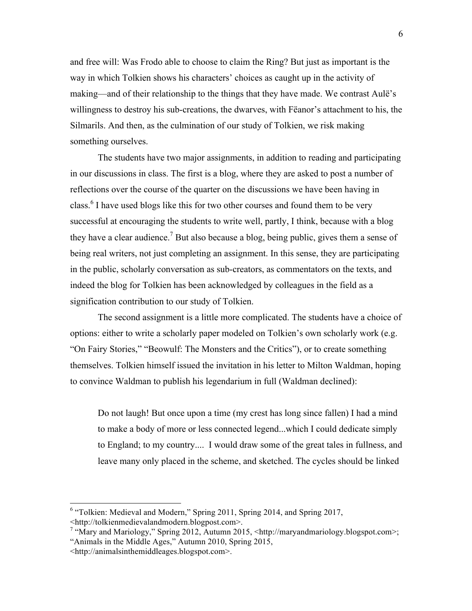and free will: Was Frodo able to choose to claim the Ring? But just as important is the way in which Tolkien shows his characters' choices as caught up in the activity of making—and of their relationship to the things that they have made. We contrast Aulë's willingness to destroy his sub-creations, the dwarves, with Fëanor's attachment to his, the Silmarils. And then, as the culmination of our study of Tolkien, we risk making something ourselves.

The students have two major assignments, in addition to reading and participating in our discussions in class. The first is a blog, where they are asked to post a number of reflections over the course of the quarter on the discussions we have been having in class.<sup>6</sup> I have used blogs like this for two other courses and found them to be very successful at encouraging the students to write well, partly, I think, because with a blog they have a clear audience.<sup>7</sup> But also because a blog, being public, gives them a sense of being real writers, not just completing an assignment. In this sense, they are participating in the public, scholarly conversation as sub-creators, as commentators on the texts, and indeed the blog for Tolkien has been acknowledged by colleagues in the field as a signification contribution to our study of Tolkien.

The second assignment is a little more complicated. The students have a choice of options: either to write a scholarly paper modeled on Tolkien's own scholarly work (e.g. "On Fairy Stories," "Beowulf: The Monsters and the Critics"), or to create something themselves. Tolkien himself issued the invitation in his letter to Milton Waldman, hoping to convince Waldman to publish his legendarium in full (Waldman declined):

Do not laugh! But once upon a time (my crest has long since fallen) I had a mind to make a body of more or less connected legend...which I could dedicate simply to England; to my country.... I would draw some of the great tales in fullness, and leave many only placed in the scheme, and sketched. The cycles should be linked

<sup>&</sup>lt;sup>6</sup> "Tolkien: Medieval and Modern," Spring 2011, Spring 2014, and Spring 2017, <http://tolkienmedievalandmodern.blogpost.com>.

<sup>7</sup> "Mary and Mariology," Spring 2012, Autumn 2015, <http://maryandmariology.blogspot.com>; "Animals in the Middle Ages," Autumn 2010, Spring 2015,

<sup>&</sup>lt;http://animalsinthemiddleages.blogspot.com>.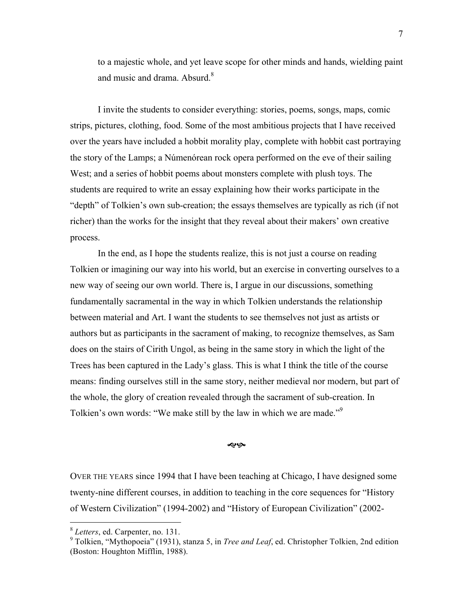to a majestic whole, and yet leave scope for other minds and hands, wielding paint and music and drama. Absurd.<sup>8</sup>

I invite the students to consider everything: stories, poems, songs, maps, comic strips, pictures, clothing, food. Some of the most ambitious projects that I have received over the years have included a hobbit morality play, complete with hobbit cast portraying the story of the Lamps; a Númenórean rock opera performed on the eve of their sailing West; and a series of hobbit poems about monsters complete with plush toys. The students are required to write an essay explaining how their works participate in the "depth" of Tolkien's own sub-creation; the essays themselves are typically as rich (if not richer) than the works for the insight that they reveal about their makers' own creative process.

In the end, as I hope the students realize, this is not just a course on reading Tolkien or imagining our way into his world, but an exercise in converting ourselves to a new way of seeing our own world. There is, I argue in our discussions, something fundamentally sacramental in the way in which Tolkien understands the relationship between material and Art. I want the students to see themselves not just as artists or authors but as participants in the sacrament of making, to recognize themselves, as Sam does on the stairs of Cirith Ungol, as being in the same story in which the light of the Trees has been captured in the Lady's glass. This is what I think the title of the course means: finding ourselves still in the same story, neither medieval nor modern, but part of the whole, the glory of creation revealed through the sacrament of sub-creation. In Tolkien's own words: "We make still by the law in which we are made."<sup>9</sup>

## <a ©

OVER THE YEARS since 1994 that I have been teaching at Chicago, I have designed some twenty-nine different courses, in addition to teaching in the core sequences for "History of Western Civilization" (1994-2002) and "History of European Civilization" (2002-

 <sup>8</sup> *Letters*, ed. Carpenter, no. 131.

<sup>9</sup> Tolkien, "Mythopoeia" (1931), stanza 5, in *Tree and Leaf*, ed. Christopher Tolkien, 2nd edition (Boston: Houghton Mifflin, 1988).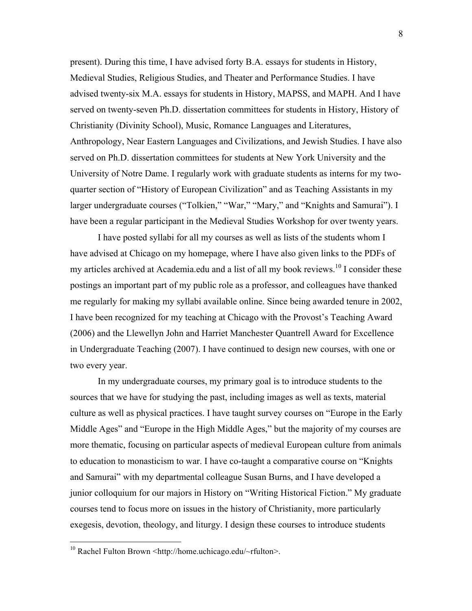present). During this time, I have advised forty B.A. essays for students in History, Medieval Studies, Religious Studies, and Theater and Performance Studies. I have advised twenty-six M.A. essays for students in History, MAPSS, and MAPH. And I have served on twenty-seven Ph.D. dissertation committees for students in History, History of Christianity (Divinity School), Music, Romance Languages and Literatures, Anthropology, Near Eastern Languages and Civilizations, and Jewish Studies. I have also served on Ph.D. dissertation committees for students at New York University and the University of Notre Dame. I regularly work with graduate students as interns for my twoquarter section of "History of European Civilization" and as Teaching Assistants in my larger undergraduate courses ("Tolkien," "War," "Mary," and "Knights and Samurai"). I have been a regular participant in the Medieval Studies Workshop for over twenty years.

I have posted syllabi for all my courses as well as lists of the students whom I have advised at Chicago on my homepage, where I have also given links to the PDFs of my articles archived at Academia.edu and a list of all my book reviews.<sup>10</sup> I consider these postings an important part of my public role as a professor, and colleagues have thanked me regularly for making my syllabi available online. Since being awarded tenure in 2002, I have been recognized for my teaching at Chicago with the Provost's Teaching Award (2006) and the Llewellyn John and Harriet Manchester Quantrell Award for Excellence in Undergraduate Teaching (2007). I have continued to design new courses, with one or two every year.

In my undergraduate courses, my primary goal is to introduce students to the sources that we have for studying the past, including images as well as texts, material culture as well as physical practices. I have taught survey courses on "Europe in the Early Middle Ages" and "Europe in the High Middle Ages," but the majority of my courses are more thematic, focusing on particular aspects of medieval European culture from animals to education to monasticism to war. I have co-taught a comparative course on "Knights and Samurai" with my departmental colleague Susan Burns, and I have developed a junior colloquium for our majors in History on "Writing Historical Fiction." My graduate courses tend to focus more on issues in the history of Christianity, more particularly exegesis, devotion, theology, and liturgy. I design these courses to introduce students

 $10$  Rachel Fulton Brown <http://home.uchicago.edu/~rfulton>.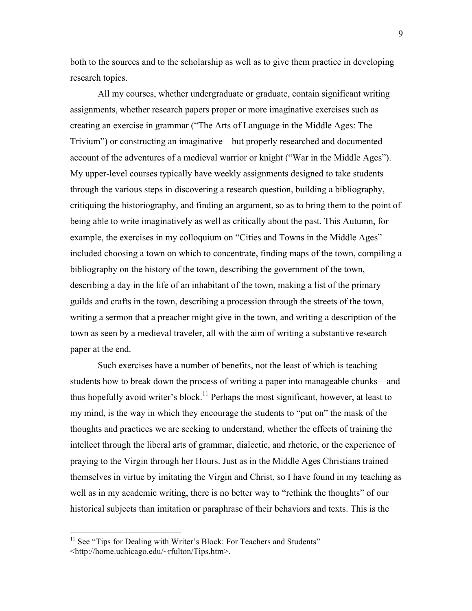both to the sources and to the scholarship as well as to give them practice in developing research topics.

All my courses, whether undergraduate or graduate, contain significant writing assignments, whether research papers proper or more imaginative exercises such as creating an exercise in grammar ("The Arts of Language in the Middle Ages: The Trivium") or constructing an imaginative—but properly researched and documented account of the adventures of a medieval warrior or knight ("War in the Middle Ages"). My upper-level courses typically have weekly assignments designed to take students through the various steps in discovering a research question, building a bibliography, critiquing the historiography, and finding an argument, so as to bring them to the point of being able to write imaginatively as well as critically about the past. This Autumn, for example, the exercises in my colloquium on "Cities and Towns in the Middle Ages" included choosing a town on which to concentrate, finding maps of the town, compiling a bibliography on the history of the town, describing the government of the town, describing a day in the life of an inhabitant of the town, making a list of the primary guilds and crafts in the town, describing a procession through the streets of the town, writing a sermon that a preacher might give in the town, and writing a description of the town as seen by a medieval traveler, all with the aim of writing a substantive research paper at the end.

Such exercises have a number of benefits, not the least of which is teaching students how to break down the process of writing a paper into manageable chunks—and thus hopefully avoid writer's block.<sup>11</sup> Perhaps the most significant, however, at least to my mind, is the way in which they encourage the students to "put on" the mask of the thoughts and practices we are seeking to understand, whether the effects of training the intellect through the liberal arts of grammar, dialectic, and rhetoric, or the experience of praying to the Virgin through her Hours. Just as in the Middle Ages Christians trained themselves in virtue by imitating the Virgin and Christ, so I have found in my teaching as well as in my academic writing, there is no better way to "rethink the thoughts" of our historical subjects than imitation or paraphrase of their behaviors and texts. This is the

 $11$  See "Tips for Dealing with Writer's Block: For Teachers and Students" <http://home.uchicago.edu/~rfulton/Tips.htm>.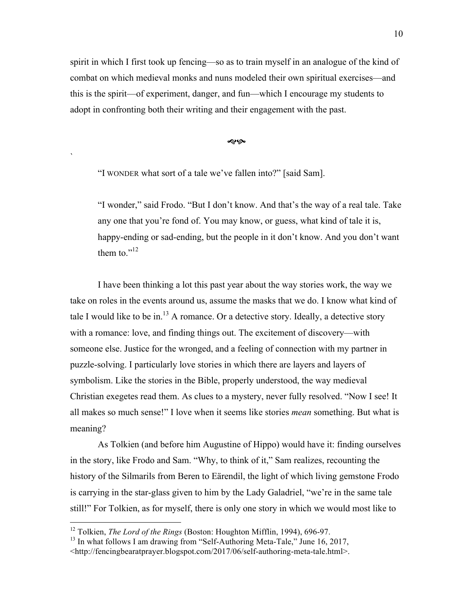spirit in which I first took up fencing—so as to train myself in an analogue of the kind of combat on which medieval monks and nuns modeled their own spiritual exercises—and this is the spirit—of experiment, danger, and fun—which I encourage my students to adopt in confronting both their writing and their engagement with the past.

موبولا

"I WONDER what sort of a tale we've fallen into?" [said Sam].

`

"I wonder," said Frodo. "But I don't know. And that's the way of a real tale. Take any one that you're fond of. You may know, or guess, what kind of tale it is, happy-ending or sad-ending, but the people in it don't know. And you don't want them to  $"^{12}$ 

I have been thinking a lot this past year about the way stories work, the way we take on roles in the events around us, assume the masks that we do. I know what kind of tale I would like to be in.<sup>13</sup> A romance. Or a detective story. Ideally, a detective story with a romance: love, and finding things out. The excitement of discovery—with someone else. Justice for the wronged, and a feeling of connection with my partner in puzzle-solving. I particularly love stories in which there are layers and layers of symbolism. Like the stories in the Bible, properly understood, the way medieval Christian exegetes read them. As clues to a mystery, never fully resolved. "Now I see! It all makes so much sense!" I love when it seems like stories *mean* something. But what is meaning?

As Tolkien (and before him Augustine of Hippo) would have it: finding ourselves in the story, like Frodo and Sam. "Why, to think of it," Sam realizes, recounting the history of the Silmarils from Beren to Eärendil, the light of which living gemstone Frodo is carrying in the star-glass given to him by the Lady Galadriel, "we're in the same tale still!" For Tolkien, as for myself, there is only one story in which we would most like to

<sup>&</sup>lt;sup>12</sup> Tolkien, *The Lord of the Rings* (Boston: Houghton Mifflin, 1994), 696-97.

 $13$  In what follows I am drawing from "Self-Authoring Meta-Tale," June 16, 2017,

<sup>&</sup>lt;http://fencingbearatprayer.blogspot.com/2017/06/self-authoring-meta-tale.html>.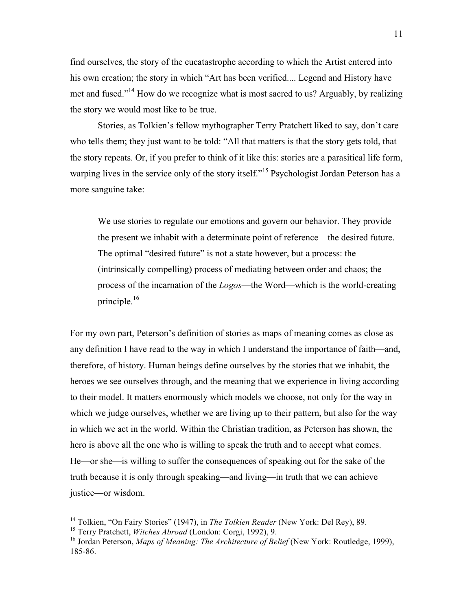find ourselves, the story of the eucatastrophe according to which the Artist entered into his own creation; the story in which "Art has been verified.... Legend and History have met and fused."14 How do we recognize what is most sacred to us? Arguably, by realizing the story we would most like to be true.

Stories, as Tolkien's fellow mythographer Terry Pratchett liked to say, don't care who tells them; they just want to be told: "All that matters is that the story gets told, that the story repeats. Or, if you prefer to think of it like this: stories are a parasitical life form, warping lives in the service only of the story itself."<sup>15</sup> Psychologist Jordan Peterson has a more sanguine take:

We use stories to regulate our emotions and govern our behavior. They provide the present we inhabit with a determinate point of reference—the desired future. The optimal "desired future" is not a state however, but a process: the (intrinsically compelling) process of mediating between order and chaos; the process of the incarnation of the *Logos*—the Word—which is the world-creating principle. $16$ 

For my own part, Peterson's definition of stories as maps of meaning comes as close as any definition I have read to the way in which I understand the importance of faith—and, therefore, of history. Human beings define ourselves by the stories that we inhabit, the heroes we see ourselves through, and the meaning that we experience in living according to their model. It matters enormously which models we choose, not only for the way in which we judge ourselves, whether we are living up to their pattern, but also for the way in which we act in the world. Within the Christian tradition, as Peterson has shown, the hero is above all the one who is willing to speak the truth and to accept what comes. He—or she—is willing to suffer the consequences of speaking out for the sake of the truth because it is only through speaking—and living—in truth that we can achieve justice—or wisdom.

<sup>&</sup>lt;sup>14</sup> Tolkien, "On Fairy Stories" (1947), in *The Tolkien Reader* (New York: Del Rey), 89.

<sup>15</sup> Terry Pratchett, *Witches Abroad* (London: Corgi, 1992), 9.

<sup>&</sup>lt;sup>16</sup> Jordan Peterson, *Maps of Meaning: The Architecture of Belief* (New York: Routledge, 1999), 185-86.